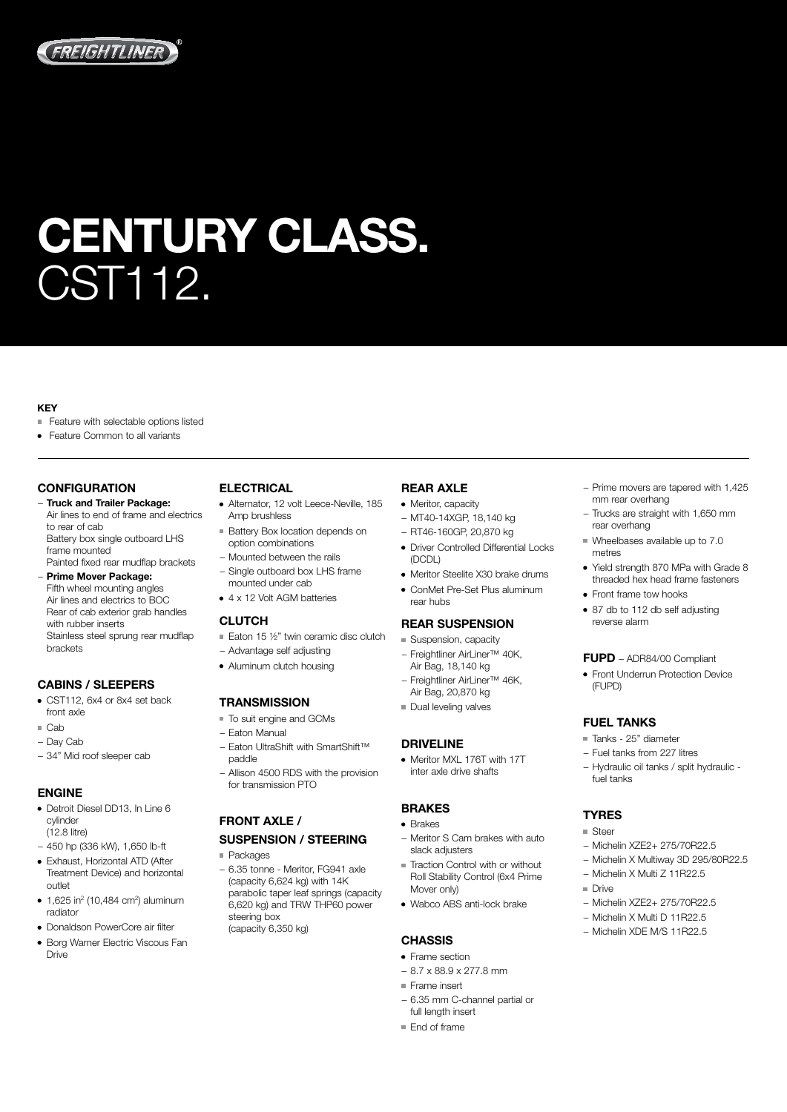

# CENTURY CLASS. CST112.

#### KEY

- Feature with selectable options listed
- Feature Common to all variants

## **CONFIGURATION**

- − Truck and Trailer Package: Air lines to end of frame and electrics to rear of cab Battery box single outboard LHS frame mounted Painted fixed rear mudflap brackets
- − Prime Mover Package: Fifth wheel mounting angles Air lines and electrics to BOC Rear of cab exterior grab handles with rubber inserts Stainless steel sprung rear mudflap brackets

## CABINS / SLEEPERS

- CST112, 6x4 or 8x4 set back front axle
- Cab
- − Day Cab
- − 34" Mid roof sleeper cab

#### ENGINE

- Detroit Diesel DD13, In Line 6 cylinder (12.8 litre)
- − 450 hp (336 kW), 1,650 lb-ft
- Exhaust, Horizontal ATD (After Treatment Device) and horizontal outlet
- 1,625 in2 (10,484 cm2 ) aluminum radiator
- Donaldson PowerCore air filter
- Borg Warner Electric Viscous Fan Drive

# **ELECTRICAL**

- Alternator, 12 volt Leece-Neville, 185 Amp brushless
- **Battery Box location depends on** option combinations
- − Mounted between the rails − Single outboard box LHS frame mounted under cab
- 4 x 12 Volt AGM batteries

#### CLUTCH

- $\blacksquare$  Eaton 15 1/2" twin ceramic disc clutch
- − Advantage self adjusting
- Aluminum clutch housing

## **TRANSMISSION**

- $\blacksquare$  To suit engine and GCMs
- − Eaton Manual − Eaton UltraShift with SmartShift™
- paddle
- − Allison 4500 RDS with the provision for transmission PTO

# FRONT AXLE / SUSPENSION / STEERING

- Packages
- − 6.35 tonne Meritor, FG941 axle (capacity 6,624 kg) with 14K parabolic taper leaf springs (capacity 6,620 kg) and TRW THP60 power steering box (capacity 6,350 kg)

## REAR AXLE

- 
- − RT46-160GP, 20,870 kg
- Driver Controlled Differential Locks (DCDL)
- Meritor Steelite X30 brake drums
- ConMet Pre-Set Plus aluminum rear hubs

- − Freightliner AirLiner™ 40K,
- − Freightliner AirLiner™ 46K,
- 

#### DRIVELINE

Meritor MXL 176T with 17T inter axle drive shafts

#### BRAKES

- $\bullet$  Brakes
- − Meritor S Cam brakes with auto slack adjusters
- Traction Control with or without Roll Stability Control (6x4 Prime Mover only)
- Wabco ABS anti-lock brake

#### **CHASSIS**

- Frame section
- − 8.7 x 88.9 x 277.8 mm
- Frame insert
- − 6.35 mm C-channel partial or full length insert
- End of frame
- − Prime movers are tapered with 1,425 mm rear overhang
- − Trucks are straight with 1,650 mm rear overhang
- Wheelbases available up to 7.0 metres
- Yield strength 870 MPa with Grade 8 threaded hex head frame fasteners
- Front frame tow hooks
- 87 db to 112 db self adjusting reverse alarm

#### FUPD – ADR84/00 Compliant

• Front Underrun Protection Device (FUPD)

#### FUEL TANKS

- Tanks 25" diameter
- − Fuel tanks from 227 litres
- − Hydraulic oil tanks / split hydraulic fuel tanks

### **TYRES**

- Steer
- − Michelin XZE2+ 275/70R22.5
- − Michelin X Multiway 3D 295/80R22.5
- − Michelin X Multi Z 11R22.5
- Drive
- − Michelin XZE2+ 275/70R22.5
- − Michelin X Multi D 11R22.5
- − Michelin XDE M/S 11R22.5
- REAR SUSPENSION ■ Suspension, capacity
- Air Bag, 18,140 kg
- Air Bag, 20,870 kg
- Dual leveling valves

• Meritor, capacity − MT40-14XGP, 18,140 kg